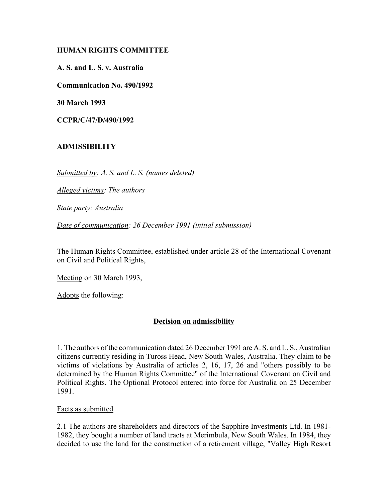# **HUMAN RIGHTS COMMITTEE**

# **A. S. and L. S. v. Australia**

**Communication No. 490/1992**

**30 March 1993**

**CCPR/C/47/D/490/1992** 

### **ADMISSIBILITY**

*Submitted by: A. S. and L. S. (names deleted)* 

*Alleged victims: The authors* 

*State party: Australia* 

*Date of communication: 26 December 1991 (initial submission)* 

The Human Rights Committee, established under article 28 of the International Covenant on Civil and Political Rights,

Meeting on 30 March 1993,

Adopts the following:

#### **Decision on admissibility**

1. The authors of the communication dated 26 December 1991 are A. S. and L. S., Australian citizens currently residing in Tuross Head, New South Wales, Australia. They claim to be victims of violations by Australia of articles 2, 16, 17, 26 and "others possibly to be determined by the Human Rights Committee" of the International Covenant on Civil and Political Rights. The Optional Protocol entered into force for Australia on 25 December 1991.

#### Facts as submitted

2.1 The authors are shareholders and directors of the Sapphire Investments Ltd. In 1981- 1982, they bought a number of land tracts at Merimbula, New South Wales. In 1984, they decided to use the land for the construction of a retirement village, "Valley High Resort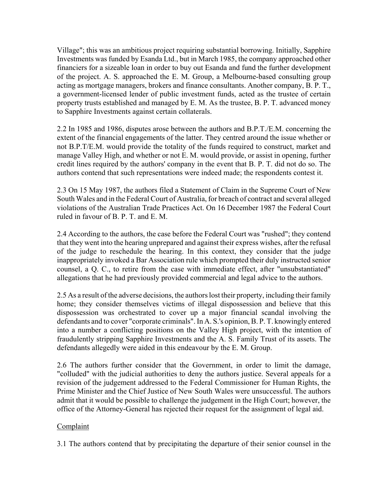Village"; this was an ambitious project requiring substantial borrowing. Initially, Sapphire Investments was funded by Esanda Ltd., but in March 1985, the company approached other financiers for a sizeable loan in order to buy out Esanda and fund the further development of the project. A. S. approached the E. M. Group, a Melbourne-based consulting group acting as mortgage managers, brokers and finance consultants. Another company, B. P. T., a government-licensed lender of public investment funds, acted as the trustee of certain property trusts established and managed by E. M. As the trustee, B. P. T. advanced money to Sapphire Investments against certain collaterals.

2.2 In 1985 and 1986, disputes arose between the authors and B.P.T./E.M. concerning the extent of the financial engagements of the latter. They centred around the issue whether or not B.P.T/E.M. would provide the totality of the funds required to construct, market and manage Valley High, and whether or not E. M. would provide, or assist in opening, further credit lines required by the authors' company in the event that B. P. T. did not do so. The authors contend that such representations were indeed made; the respondents contest it.

2.3 On 15 May 1987, the authors filed a Statement of Claim in the Supreme Court of New South Wales and in the Federal Court of Australia, for breach of contract and several alleged violations of the Australian Trade Practices Act. On 16 December 1987 the Federal Court ruled in favour of B. P. T. and E. M.

2.4 According to the authors, the case before the Federal Court was "rushed"; they contend that they went into the hearing unprepared and against their express wishes, after the refusal of the judge to reschedule the hearing. In this context, they consider that the judge inappropriately invoked a Bar Association rule which prompted their duly instructed senior counsel, a Q. C., to retire from the case with immediate effect, after "unsubstantiated" allegations that he had previously provided commercial and legal advice to the authors.

2.5 As a result of the adverse decisions, the authors lost their property, including their family home; they consider themselves victims of illegal dispossession and believe that this dispossession was orchestrated to cover up a major financial scandal involving the defendants and to cover "corporate criminals". In A. S.'s opinion, B. P. T. knowingly entered into a number a conflicting positions on the Valley High project, with the intention of fraudulently stripping Sapphire Investments and the A. S. Family Trust of its assets. The defendants allegedly were aided in this endeavour by the E. M. Group.

2.6 The authors further consider that the Government, in order to limit the damage, "colluded" with the judicial authorities to deny the authors justice. Several appeals for a revision of the judgement addressed to the Federal Commissioner for Human Rights, the Prime Minister and the Chief Justice of New South Wales were unsuccessful. The authors admit that it would be possible to challenge the judgement in the High Court; however, the office of the Attorney-General has rejected their request for the assignment of legal aid.

# Complaint

3.1 The authors contend that by precipitating the departure of their senior counsel in the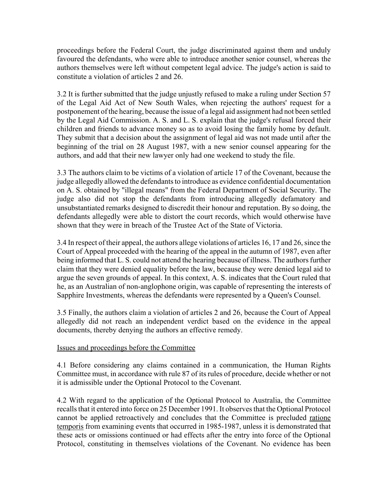proceedings before the Federal Court, the judge discriminated against them and unduly favoured the defendants, who were able to introduce another senior counsel, whereas the authors themselves were left without competent legal advice. The judge's action is said to constitute a violation of articles 2 and 26.

3.2 It is further submitted that the judge unjustly refused to make a ruling under Section 57 of the Legal Aid Act of New South Wales, when rejecting the authors' request for a postponement of the hearing, because the issue of a legal aid assignment had not been settled by the Legal Aid Commission. A. S. and L. S. explain that the judge's refusal forced their children and friends to advance money so as to avoid losing the family home by default. They submit that a decision about the assignment of legal aid was not made until after the beginning of the trial on 28 August 1987, with a new senior counsel appearing for the authors, and add that their new lawyer only had one weekend to study the file.

3.3 The authors claim to be victims of a violation of article 17 of the Covenant, because the judge allegedly allowed the defendants to introduce as evidence confidential documentation on A. S. obtained by "illegal means" from the Federal Department of Social Security. The judge also did not stop the defendants from introducing allegedly defamatory and unsubstantiated remarks designed to discredit their honour and reputation. By so doing, the defendants allegedly were able to distort the court records, which would otherwise have shown that they were in breach of the Trustee Act of the State of Victoria.

3.4 In respect of their appeal, the authors allege violations of articles 16, 17 and 26, since the Court of Appeal proceeded with the hearing of the appeal in the autumn of 1987, even after being informed that L. S. could not attend the hearing because of illness. The authors further claim that they were denied equality before the law, because they were denied legal aid to argue the seven grounds of appeal. In this context, A. S. indicates that the Court ruled that he, as an Australian of non-anglophone origin, was capable of representing the interests of Sapphire Investments, whereas the defendants were represented by a Queen's Counsel.

3.5 Finally, the authors claim a violation of articles 2 and 26, because the Court of Appeal allegedly did not reach an independent verdict based on the evidence in the appeal documents, thereby denying the authors an effective remedy.

#### Issues and proceedings before the Committee

4.1 Before considering any claims contained in a communication, the Human Rights Committee must, in accordance with rule 87 of its rules of procedure, decide whether or not it is admissible under the Optional Protocol to the Covenant.

4.2 With regard to the application of the Optional Protocol to Australia, the Committee recalls that it entered into force on 25 December 1991. It observes that the Optional Protocol cannot be applied retroactively and concludes that the Committee is precluded ratione temporis from examining events that occurred in 1985-1987, unless it is demonstrated that these acts or omissions continued or had effects after the entry into force of the Optional Protocol, constituting in themselves violations of the Covenant. No evidence has been